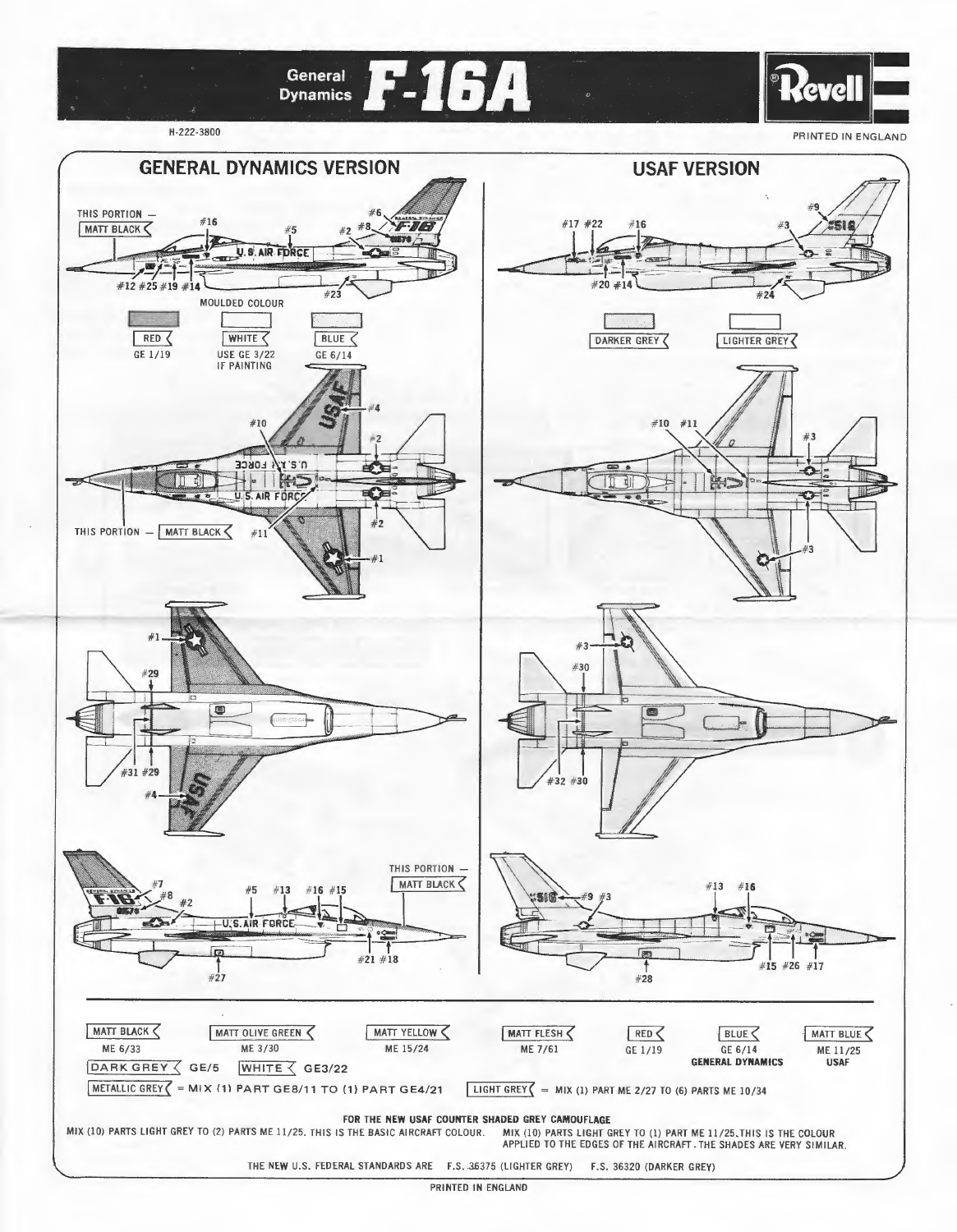

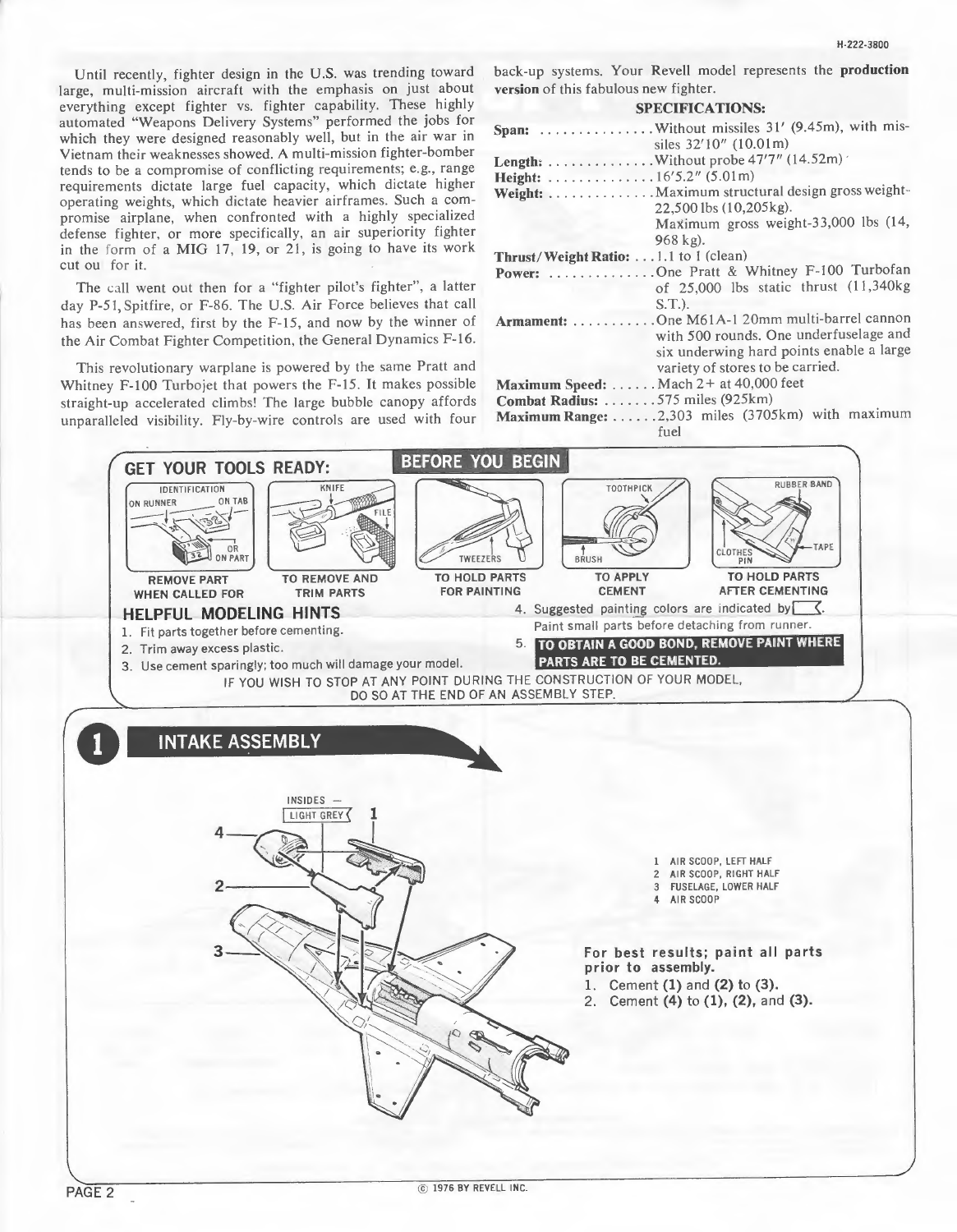Until recently, fighter design in the U.S. was trending toward large, multi-mission aircraft with the emphasis on just about everything except fighter vs. fighter capability. These highly automated "Weapons Delivery Systems" performed the jobs for which they were designed reasonably well, but in the air war in Vietnam their weaknesses showed. A multi-mission fighter-bomber tends to be a compromise of conflicting requirements; e.g., range requirements dictate large fuel capacity, which dictate higher operating weights, which dictate heavier airframes. Such a compromise airplane, when confronted with a highly specialized defense fighter. or more specifically. an air superiority fighter in the form of a MIG 17, 19, or 21, is going to have its work cut ou for it.

The call went out then for a "fighter pilot's fighter", a latter day P-51, Spitfire, or F-86. The U.S. Air Force believes that call has been answered, first by the F-15, and now by the winner of the Air Combat Fighter Competition. the General Dynamics F-16.

This revolutionary warplane is powered by the same Pratt and Whitney F-100 Turbojet that powers the F-15. It makes possible straight-up accelerated climbsl The large bubble canopy affords unparalleled visibility. Fly-by-wire controls are used with four H-22?.3800

back-up systems. Your Revell model represents the production version of this fabulous new fighter.

#### SPECIFICATIONS:

|                                       | siles 32'10" (10.01m)                            |
|---------------------------------------|--------------------------------------------------|
|                                       |                                                  |
| Height: 16'5.2" (5.01m)               |                                                  |
|                                       | Weight:  Maximum structural design gross weight- |
|                                       | 22,500 lbs (10,205kg).                           |
|                                       | Maximum gross weight-33,000 lbs (14,             |
|                                       |                                                  |
|                                       | $968$ kg).                                       |
| Thrust/Weight Ratio: 1.1 to 1 (clean) |                                                  |
|                                       | Power: One Pratt & Whitney F-100 Turbofan        |
|                                       | of 25,000 lbs static thrust (11,340kg)           |
|                                       | $S(T1)$ .                                        |
|                                       | Armament: One M61A-1 20mm multi-barrel cannon    |
|                                       | with 500 rounds. One underfuselage and           |
|                                       | six underwing hard points enable a large         |
|                                       | variety of stores to be carried.                 |
|                                       | Maximum Speed:  Mach 2+ at 40,000 feet           |
| Combat Radius: 575 miles (925km)      |                                                  |
|                                       | Maximum Range: 2,303 miles (3705km) with maximum |
|                                       |                                                  |
|                                       | fuel                                             |

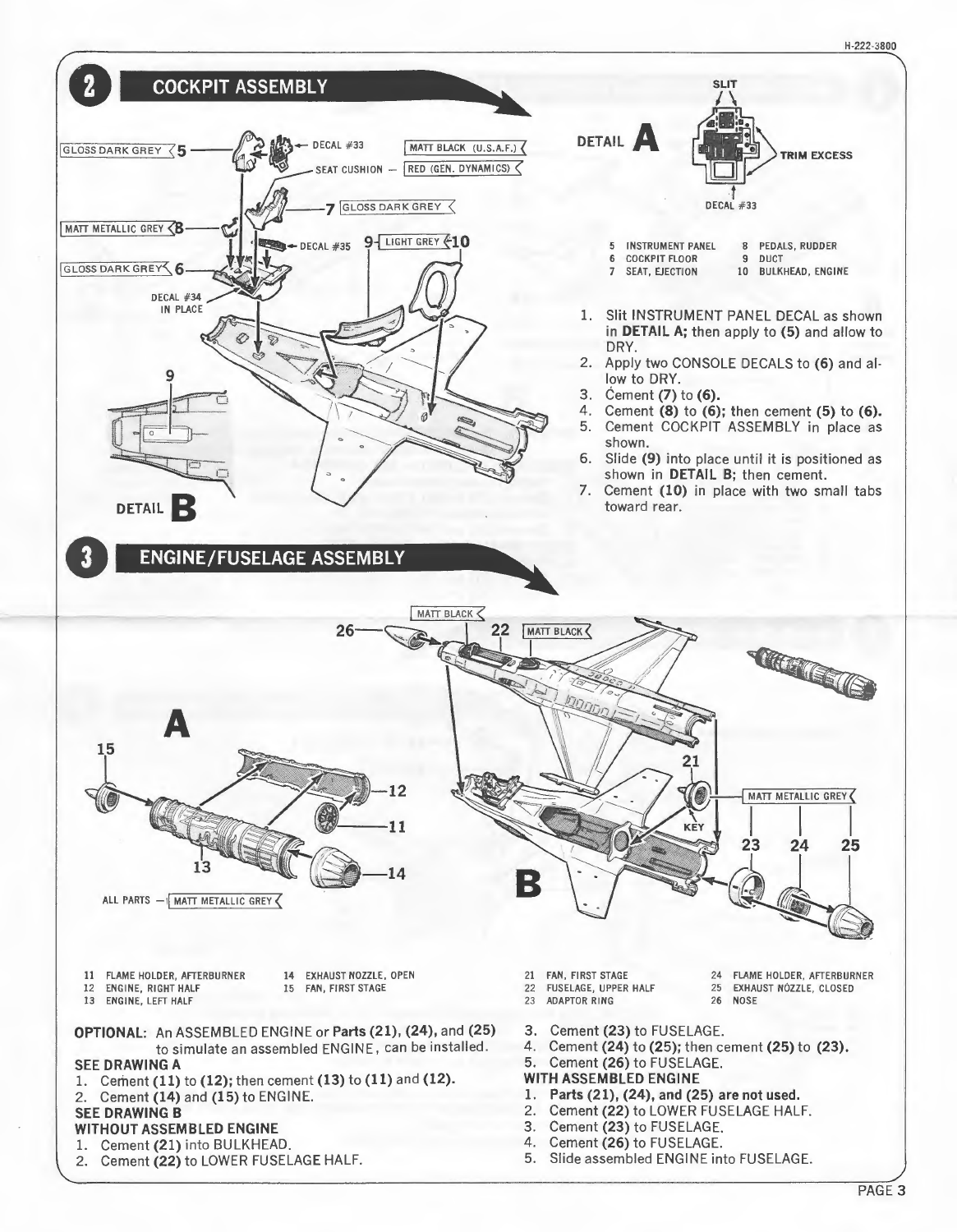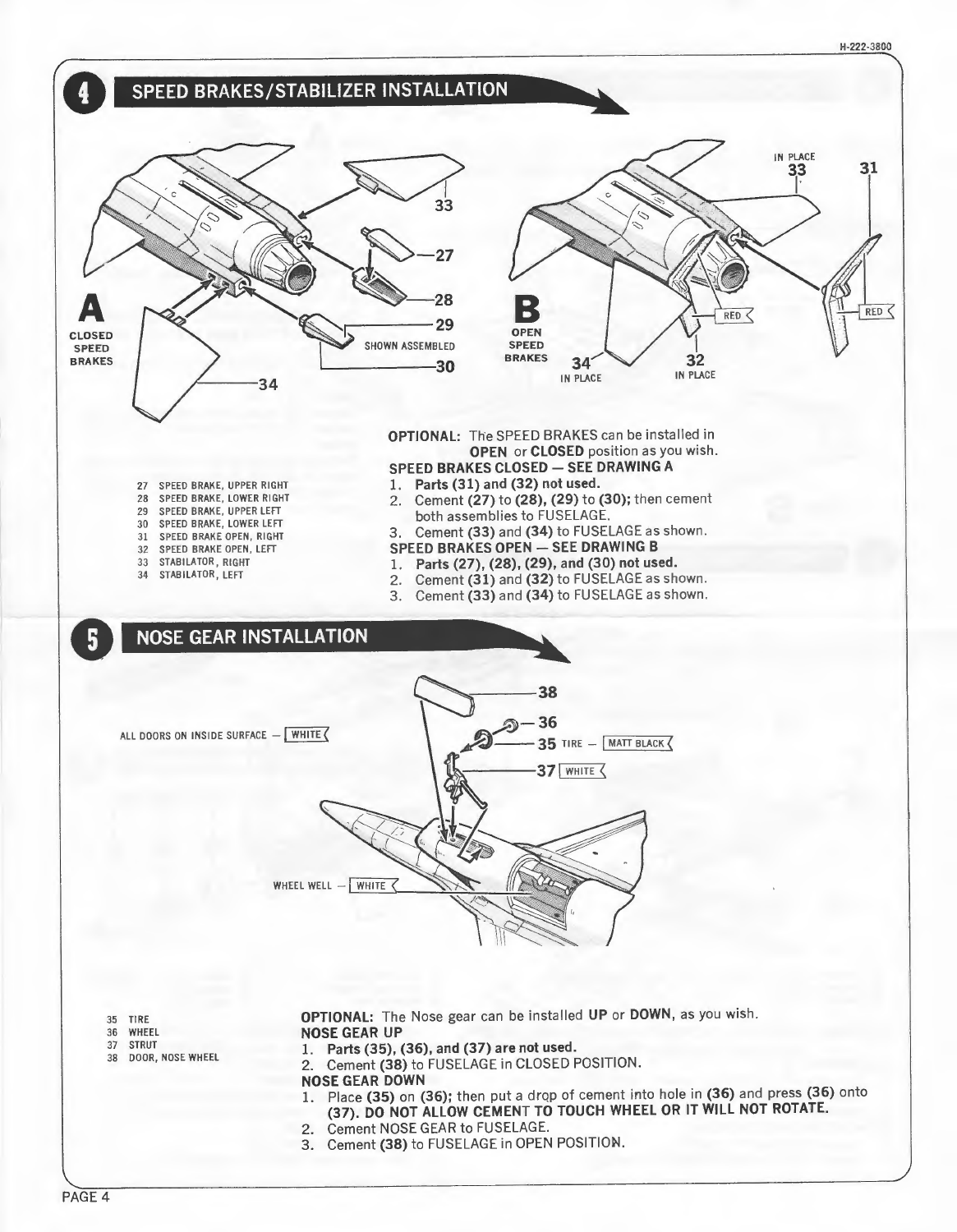

- 2. Cement (38) to FUSELAGE in CLOSED POSITION.
- NOSE GEAR DOWN
- 1. Place (35) on (36); then put a drop of cement into hole in (36) and press (36) onto (37). DO NOT ALLOW CEMENT TO TOUCH WHEEL OR IT WILL NOT ROTATE.
- 2. Cement NOSE GEAR to FUSELAGE.
- 3. Cement (38) to FUSELAGE in OPEN POSITION.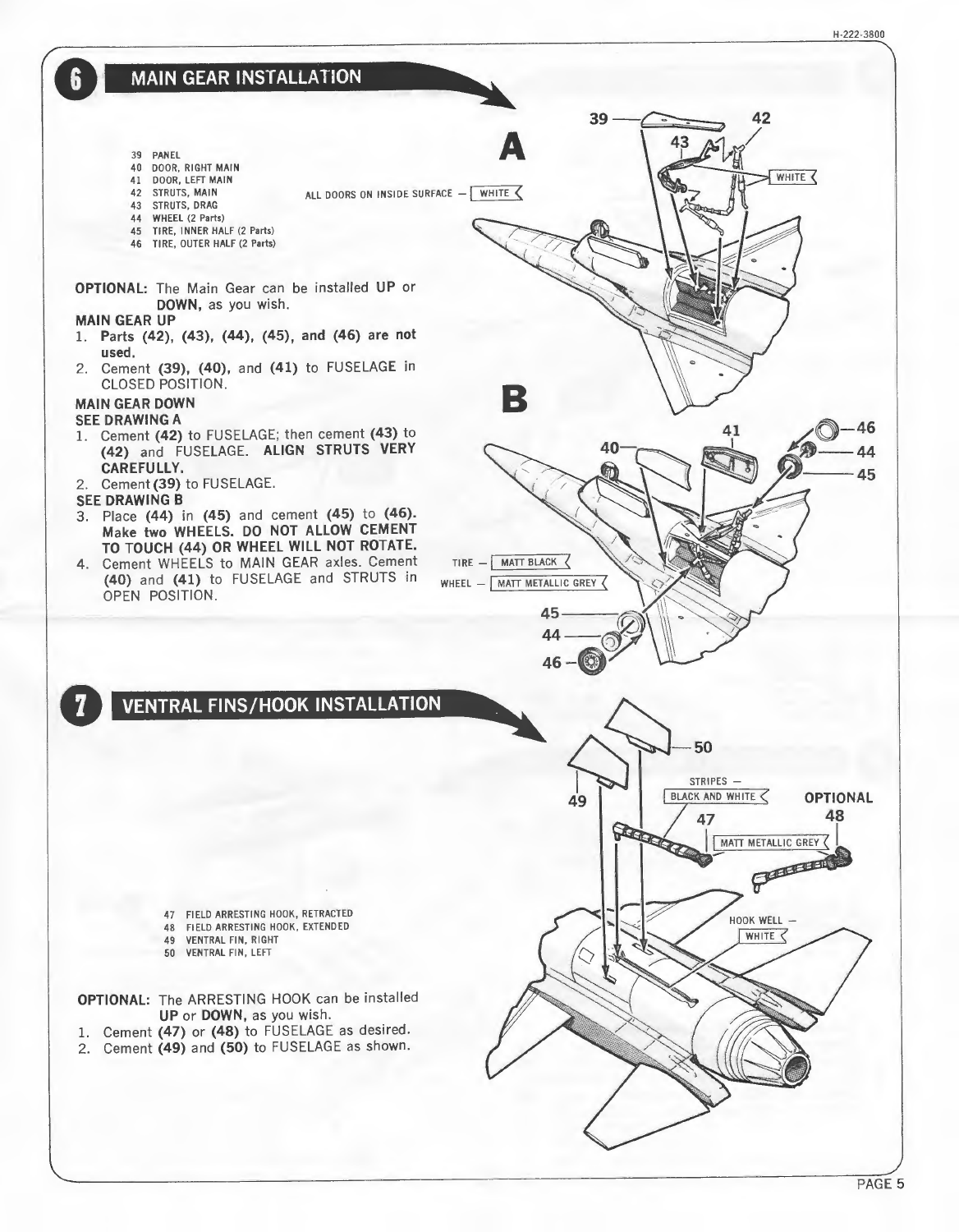H-222.3800

42

**MAIN GEAR INSTALLATION** 

- 39 PANEL
- 4O DOOR, RIGHT MAIN
- 41 DOOR, LEFT MAIN 42 STRUTS, MAIN
- ALL DOORS ON INSIDE SURFACE  $-$  WHITE
- 43 STRUTS, DRAG
- 44 WHEEL (2 Parts)
- 45 TIRE, INNER HALF (2 Parts)
- 46 TIRE, OUTER HALF (2 Parts)

OPTIONAL: The Main Gear can be installed UP or DOWN, as you wish.

### MAIN GEAR UP

- 1. Parts (42), (43), (44), (45), and (45) are not used.
- 2. Cement (39), (40), and (41) to FUSELAGE in CLOSED POSITION.

## MAIN GEAR DOWN

#### SEE DRAWING A

- 1. Cement (42) to FUSELAGE; then cement (43) to (42) and FUSELAGE. ALIGN STRUTS VERY CAREFULLY.
- 2. Cement(39) to FUSELAGE.

#### SEE DRAWING B

- 3. Place (44) in (45) and cement (45) to (46). Make two WHEELS. DO NOT ALLOW CEMENT TO TOUCH (44) OR WHEEL WILL NOT ROTATE.
- 4. Cement WHEELS to MAIN GEAR axles. Cement (40) and (41) to FUSELAGE and STRUTS in OPEN POSITION.



- 47 FIELD ARRESTING HOOK, RETRACTED
- 48 FIELD ARRESTING HOOK, EXTENDED
- 49 VENTRAL FIN, RIGHT
- 50 VENTRAL FIN, LEFT
- OPTIONAL: The ARRESTING HOOK can be installed UP or DOWN, as you wish.
- 1. Cement (47) or (48) to FUSELAGE as desired.
- 2. Cement (49) and (50) to FUSELAGE as shown.



 $39 -$ 

PAGE 5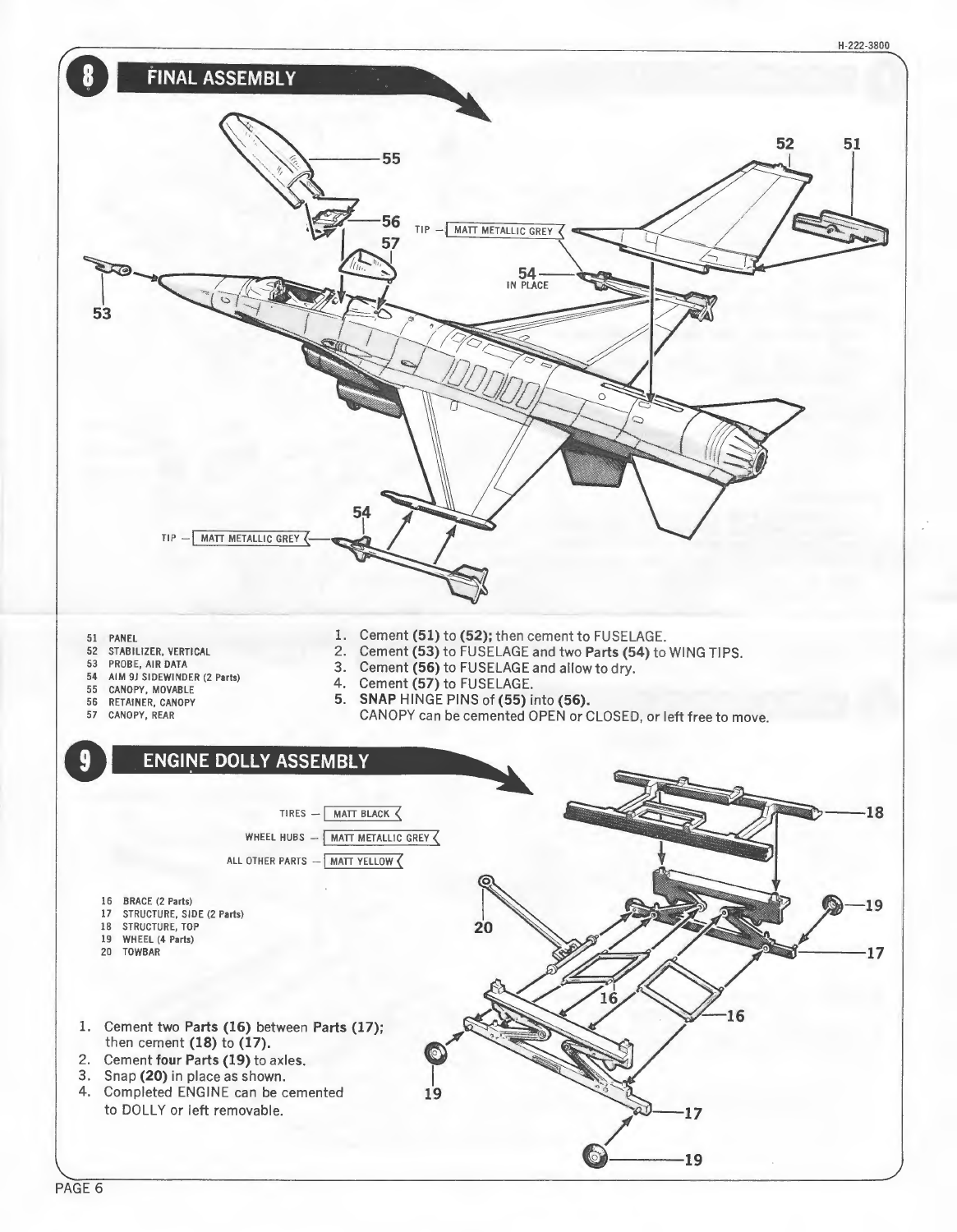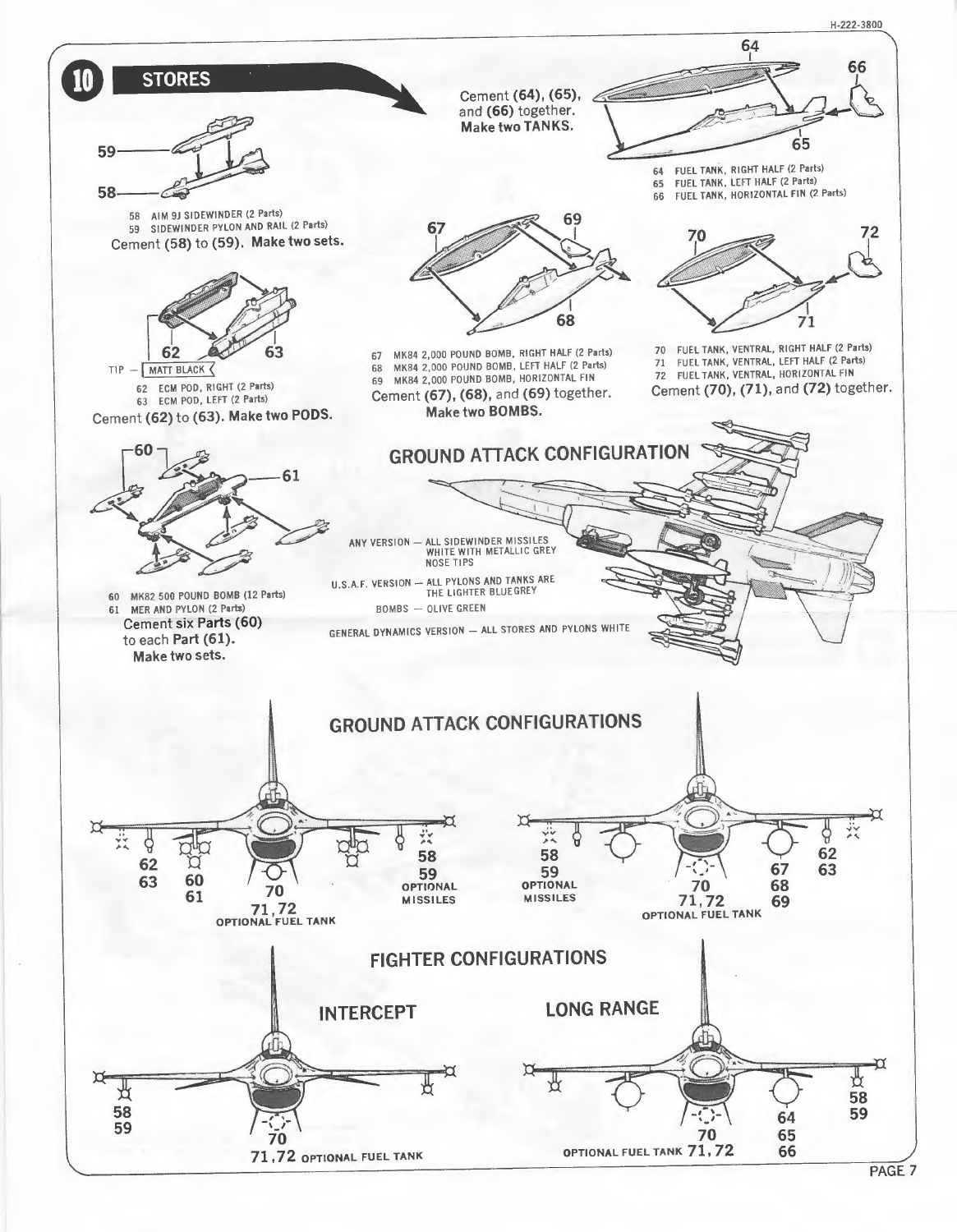

PAGE 7